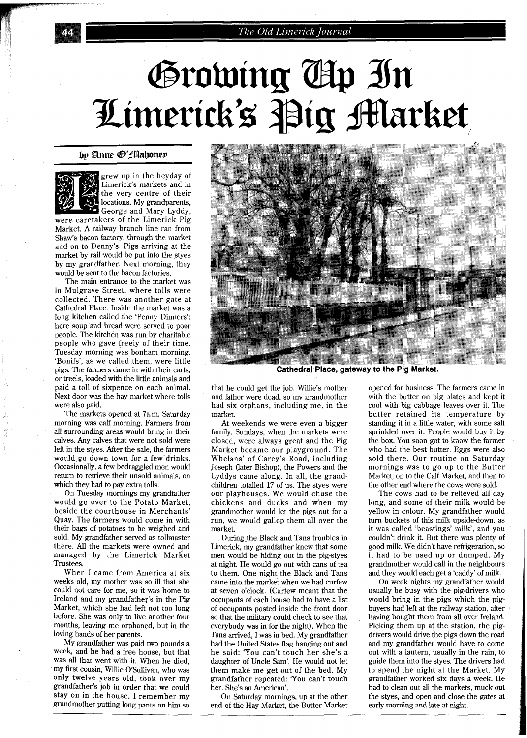## The Old Limerick Journal

# Growing Ap In Limerick's Pig Market

### by Anne ®'fflahoney



grew up in the heyday of Limerick's markets and in the very centre of their locations. My grandparents, George and Mary Lyddy,

were caretakers of the Limerick Pig Market. A railway branch line ran from Shaw's bacon factory, through the market and on to Denny's. Pigs arriving at the market by rail would be put into the styes by my grandfather. Next morning, they would be sent to the bacon factories.

The main entrance to the market was in Mulgrave Street, where tolls were collected. There was another gate at Cathedral Place. Inside the market was a long kitchen called the 'Penny Dinners': here soup and bread were served to poor people. The kitchen was run by charitable people who gave freely of their time. Tuesday morning was bonham morning. 'Bonifs', as we called them, were little pigs. The farmers came in with their carts, or treels, loaded with the little animals and paid a toll of sixpence on each animal. Next door was the hay market where tolls were also paid.

The markets opened at 7a.m. Saturday morning was calf morning. Farmers from all surrounding areas would bring in their calves. Any calves that were not sold were left in the styes. After the sale, the farmers would go down town for a few drinks. Occasionally, a few bedraggled men would return to retrieve their unsold animals, on which they had to pay extra tolls.

On Tuesday mornings my grandfather would go over to the Potato Market, beside the courthouse in Merchants' Quay. The farmers would come in with their bags of potatoes to be weighed and sold. My grandfather served as tollmaster there. All the markets were owned and managed by the Limerick Market Trustees.

When I came from America at six weeks old, my mother was so ill that she could not care for me, so it was home to Ireland and my grandfather's in the Pig Market, which she had left not too long before. She was only to live another four months, leaving me orphaned, but in the loving hands of her parents.

My grandfather was paid two pounds a week, and he had a free house, but that was all that went with it. When he died, my first cousin, Willie O'Sullivan, who was only twelve years old, took over my grandfather's job in order that we could stay on in the house. I remember my grandmother putting long pants on him so



**Cathedral Place, gateway to the Pig Market.** 

that he could get the job. Willie's mother and father were dead, so my grandmother had six orphans, including me, in the market.

At weekends we were even a bigger family. Sundays, when the markets were closed, were always great and the Pig Market became our playground. The Whelans' of Carey's Road, including Joseph (later Bishop), the Powers and the Lyddys came along. In all, the grandchildren totalled 17 of us. The styes were our playhouses. We would chase the chickens and ducks and when my grandmother would let the pigs out for a run, we would gallop them all over the market.

During-the Black and Tans troubles in Limerick, my grandfather knew that some men would be hiding out in the pig-styes at night. He would go out with cans of tea to them. One night the Black and Tans came into the market when we had curfew at seven o'clock. (Curfew meant that the occupants of each house had to have a list of occupants posted inside the front door so that the military could check to see that everybody was in for the night). When the Tans arrived, I was in bed. My grandfather had the United States flag hanging out and he said: 'You can't touch her she's a daughter of Uncle Sam'. He would not let them make me get out of the bed. My grandfather repeated: 'You can't touch her. She's an American'.

On Saturday mornings, up at the other end of the Hay Market, the Butter Market opened for business. The farmers came in with the butter on big plates and kept it cool with big cabbage leaves over it. The butter retained its temperature by standing it in a little water, with some salt sprinkled over it. People would buy it by the box. You soon got to know the farmer who had the best butter. Eggs were also sold there. Our routine on Saturday mornings was to go up to the Butter Market, on to the Calf Market, and then to the other end where the cows were sold.

The cows had to be relieved all day long, and some of their milk would be yellow in colour. My grandfather would turn buckets of this milk upside-down, as it was called 'beastings' milk', and you couldn't drink it. But there was plenty of good milk. We didn't have refrigeration, so it had to be used up or dumped. My grandmother would call in the neighbours and they would each get a 'caddy' of milk.

On week nights my grandfather would usually be busy with the pig-drivers who would bring in the pigs which the pigbuyers had left at the railway station, after having bought them from all over Ireland. Picking them up at the station, the pigdrivers would drive the pigs down the road and my grandfather would have to come out with a lantern, usually in the rain, to guide them into the styes. The drivers had to spend the night at the Market. My grandfather worked six days a week. He had to clean out all the markets, muck out the styes, and open and close the gates at early morning and late at night.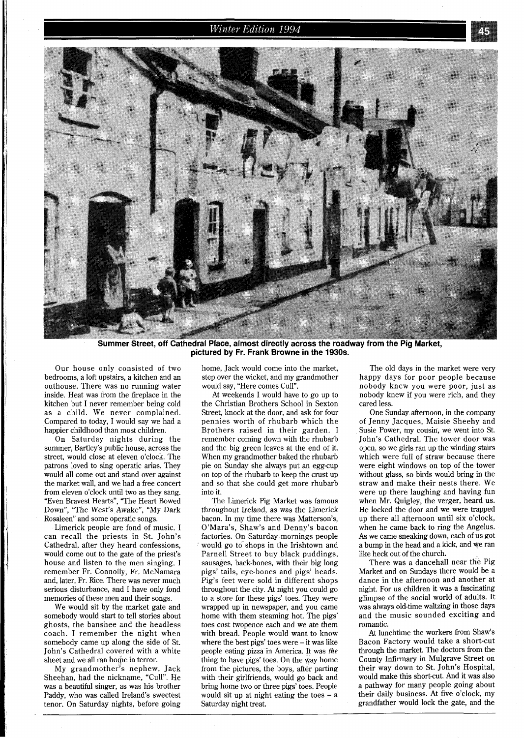## Winter Edition 1994



Summer Street, off Cathedral Place, almost directly across the roadway from the Pig Market, **pictured by Fr. Frank Browne in the 1930s.** 

Our house only consisted of two bedrooms, a loft upstairs, a kitchen and an outhouse. There was no running water inside. Heat was from the fireplace in the kitchen but I never remember being cold as a child. We never complained. Compared to today, I would say we had a happier childhood than most children.

On Saturday nights during the summer, Bartley's public house, across the street, would close at eleven o'clock. The patrons loved to sing operatic arias. They would all come out and stand over against the market wall, and we had a free concert from eleven o'clock until two as they sang. "Even Bravest Hearts", "The Heart Bowed Down", "The West's Awake", "My Dark Rosaleen" and some operatic songs.

Limerick people are fond of music. I can recall the priests in St. John's Cathedral, after they heard confessions, would come out to the gate of the priest's house and listen to the men singing. I remember Fr. Connolly, Fr. McNamara and, later, Fr. Rice. There was never much serious disturbance, and I have only fond memories of these men and their songs.

We would sit by the market gate and somebody would start to tell stories about ghosts, the banshee and the headless coach. I remember the night when somebody came up along the side of St. John's Cathedral covered with a white sheet and we all ran horpe in terror.

My grandmother's nephew, Jack Sheehan, had the nickname, "Cull". He was a beautiful singer, as was his brother Paddy, who was called Ireland's sweetest tenor. On Saturday nights, before going

home, Jack would come into the market, step over the wicket, and my grandmother would say, "Here comes Cull".

At weekends I would have to go up to the Christian Brothers School in Sexton Street, knock at the door, and ask for four pennies worth of rhubarb which the Brothers raised in their garden. I remember coming down with the rhubarb and the big green leaves at the end of it. When my grandmother baked the rhubarb pie on Sunday she always put an egg-cup on top of the rhubarb to keep the crust up and so that she could get more rhubarb into it.

The Limerick Pig Market was famous throughout Ireland, as was the Limerick bacon. In my time there was Matterson's, O'Mara's, Shaw's and Denny's bacon factories. On Saturday mornings people would go to shops in the Irishtown and Parnell Street to buy black puddings, sausages, back-bones, with their big long pigs' tails, eye-bones and pigs' heads. Pig's feet were sold in different shops throughout the city. At night you could go to a store for these pigs' toes. They were wrapped up in newspaper, and you came home with them steaming hot. The pigs' toes cost twopence each and we ate them with bread. People would want to know where the best pigs' toes were - it was like people eating pizza in America. It was *the*  thing to have pigs' toes. On the way home from the pictures, the boys, after parting with their girlfriends, would go back and bring home two or three pigs' toes. People would sit up at night eating the toes  $-$  a Saturday night treat.

The old days in the market were very happy days for poor people because nobody knew you were poor, just as nobody knew if you were rich, and they cared less.

One Sunday afternoon, in the company of Jenny Jacques, Maisie Sheehy and Susie Power, my cousin, we went into St. John's Cathedral. The tower door was open, so we girls ran up the winding stairs which were full of straw because there were eight windows on top of the tower without glass, so birds would bring in the straw and make their nests there. We were up there laughing and having fun when Mr. Quigley, the verger, heard us. He locked the door and we were trapped up there all afternoon until six o'clock, when he came back to ring the Angelus. As we came sneaking down, each of us got a bump in the head and a kick, and we ran like heck out of the church.

There was a dancehall near the Pig Market and on Sundays there would be a dance in the afternoon and another at night. For us children it was a fascinating glimpse of the social world of adults. It was always old-time waltzing in those days and the music sounded exciting and romantic.

At lunchtime the workers from Shaw's Bacon Factory would take a short-cut through the market. The doctors from the County Infirmary in Mulgrave Street on their way down to St. John's Hospital, would make this short-cut. And it was also a pathway for many people going about their daily business. At five o'clock, my grandfather would lock the gate, and the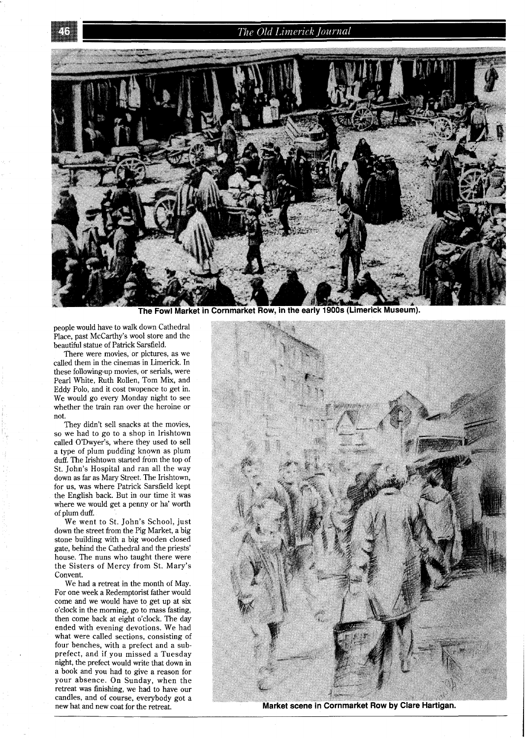## The Old Limerick Journal



The Fowl Market in Cornmarket Row, in the early 1900s (Limerick Museum).

people would have to walk down Cathedral Place, past McCarthy's wool store and the beautiful statue of Patrick Sarsfield.

There were movies, or pictures, as we called them in the cinemas in Limerick. In these following-up movies, or serials, were Pearl White, Ruth Rollen, Tom Mix, and Eddy Polo, and it cost twopence to get in. We would go every Monday night to see whether the train ran over the heroine or not.

They didn't sell snacks at the movies, so we had to go to a shop in Irishtown called O'Dwyer's, where they used to sell a type of plum pudding known as plum duff. The Irishtown started from the top of St. John's Hospital and ran all the way down as far as Mary Street. The Irishtown, for us, was where Patrick Sarsfield kept the English back. But in our time it was where we would get a penny or ha' worth of plum duff.

We went to St. John's School, just down the street from the Pig Market, a big stone building with a big wooden closed gate, behind the Cathedral and the priests' house. The nuns who taught there were the Sisters of Mercy from St. Mary's Convent.

We had a retreat in the month of May. For one week a Redemptorist father would come and we would have to get up at six o'clock in the morning, go to mass fasting, then come back at eight o'clock. The day ended with evening devotions. We had what were called sections, consisting of four benches, with a prefect and a subprefect, and if you missed a Tuesday night, the prefect would write that down in a book and you had to give a reason for your absence. On Sunday, when the retreat was finishing, we had to have our candles, and of course, everybody got a new hat and new coat for the retreat.



Market scene in Cornmarket Row by Clare Hartigan.